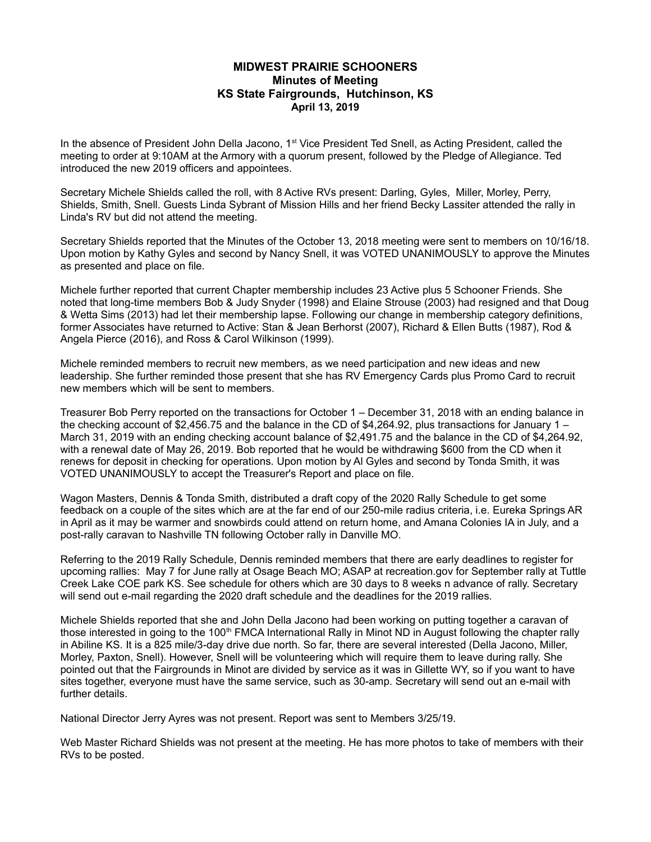## **MIDWEST PRAIRIE SCHOONERS Minutes of Meeting KS State Fairgrounds, Hutchinson, KS April 13, 2019**

In the absence of President John Della Jacono, 1<sup>st</sup> Vice President Ted Snell, as Acting President, called the meeting to order at 9:10AM at the Armory with a quorum present, followed by the Pledge of Allegiance. Ted introduced the new 2019 officers and appointees.

Secretary Michele Shields called the roll, with 8 Active RVs present: Darling, Gyles, Miller, Morley, Perry, Shields, Smith, Snell. Guests Linda Sybrant of Mission Hills and her friend Becky Lassiter attended the rally in Linda's RV but did not attend the meeting.

Secretary Shields reported that the Minutes of the October 13, 2018 meeting were sent to members on 10/16/18. Upon motion by Kathy Gyles and second by Nancy Snell, it was VOTED UNANIMOUSLY to approve the Minutes as presented and place on file.

Michele further reported that current Chapter membership includes 23 Active plus 5 Schooner Friends. She noted that long-time members Bob & Judy Snyder (1998) and Elaine Strouse (2003) had resigned and that Doug & Wetta Sims (2013) had let their membership lapse. Following our change in membership category definitions, former Associates have returned to Active: Stan & Jean Berhorst (2007), Richard & Ellen Butts (1987), Rod & Angela Pierce (2016), and Ross & Carol Wilkinson (1999).

Michele reminded members to recruit new members, as we need participation and new ideas and new leadership. She further reminded those present that she has RV Emergency Cards plus Promo Card to recruit new members which will be sent to members.

Treasurer Bob Perry reported on the transactions for October 1 – December 31, 2018 with an ending balance in the checking account of \$2,456.75 and the balance in the CD of \$4,264.92, plus transactions for January 1 – March 31, 2019 with an ending checking account balance of \$2,491.75 and the balance in the CD of \$4,264.92, with a renewal date of May 26, 2019. Bob reported that he would be withdrawing \$600 from the CD when it renews for deposit in checking for operations. Upon motion by Al Gyles and second by Tonda Smith, it was VOTED UNANIMOUSLY to accept the Treasurer's Report and place on file.

Wagon Masters, Dennis & Tonda Smith, distributed a draft copy of the 2020 Rally Schedule to get some feedback on a couple of the sites which are at the far end of our 250-mile radius criteria, i.e. Eureka Springs AR in April as it may be warmer and snowbirds could attend on return home, and Amana Colonies IA in July, and a post-rally caravan to Nashville TN following October rally in Danville MO.

Referring to the 2019 Rally Schedule, Dennis reminded members that there are early deadlines to register for upcoming rallies: May 7 for June rally at Osage Beach MO; ASAP at recreation.gov for September rally at Tuttle Creek Lake COE park KS. See schedule for others which are 30 days to 8 weeks n advance of rally. Secretary will send out e-mail regarding the 2020 draft schedule and the deadlines for the 2019 rallies.

Michele Shields reported that she and John Della Jacono had been working on putting together a caravan of those interested in going to the 100<sup>th</sup> FMCA International Rally in Minot ND in August following the chapter rally in Abiline KS. It is a 825 mile/3-day drive due north. So far, there are several interested (Della Jacono, Miller, Morley, Paxton, Snell). However, Snell will be volunteering which will require them to leave during rally. She pointed out that the Fairgrounds in Minot are divided by service as it was in Gillette WY, so if you want to have sites together, everyone must have the same service, such as 30-amp. Secretary will send out an e-mail with further details.

National Director Jerry Ayres was not present. Report was sent to Members 3/25/19.

Web Master Richard Shields was not present at the meeting. He has more photos to take of members with their RVs to be posted.